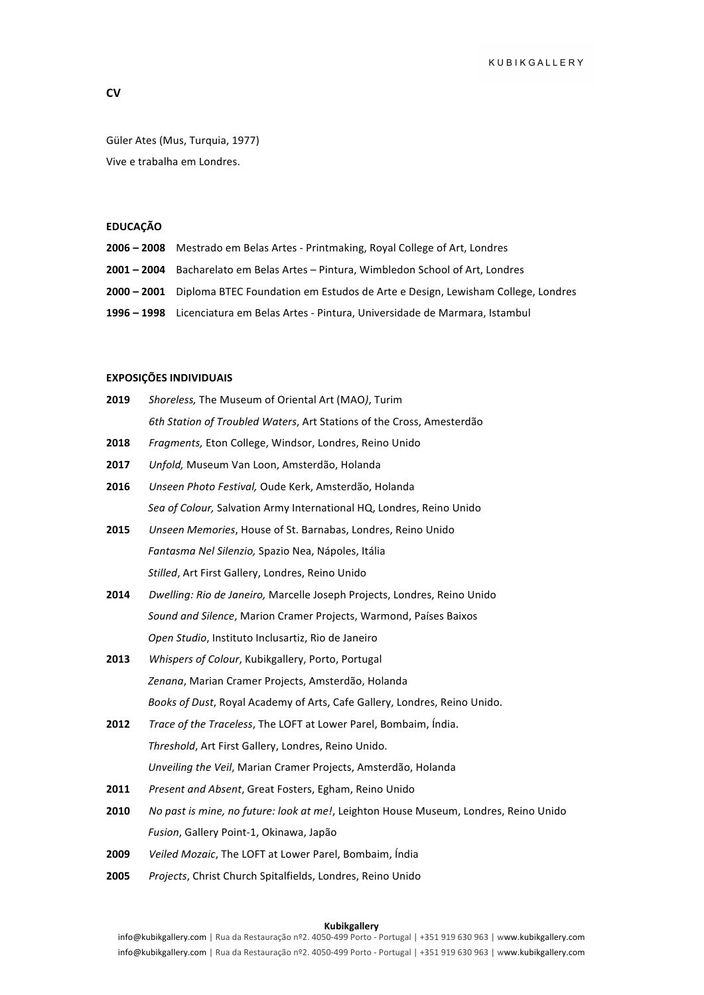# **CV**

Güler Ates (Mus, Turquia, 1977) Vive e trabalha em Londres.

### **EDUCAÇÃO**

| 2006 - 2008 Mestrado em Belas Artes - Printmaking, Royal College of Art, Londres |  |
|----------------------------------------------------------------------------------|--|
|                                                                                  |  |

- **2001** 2004 Bacharelato em Belas Artes Pintura, Wimbledon School of Art, Londres
- **2000 2001** Diploma BTEC Foundation em Estudos de Arte e Design, Lewisham College, Londres
- **1996 1998** Licenciatura em Belas Artes Pintura, Universidade de Marmara, Istambul

# **EXPOSIÇÕES INDIVIDUAIS**

| 2019 | Shoreless, The Museum of Oriental Art (MAO), Turim                       |
|------|--------------------------------------------------------------------------|
|      | 6th Station of Troubled Waters, Art Stations of the Cross, Amesterdão    |
| 2018 | <i>Fragments, Eton College, Windsor, Londres, Reino Unido</i>            |
| 2017 | Unfold, Museum Van Loon, Amsterdão, Holanda                              |
| 2016 | Unseen Photo Festival, Oude Kerk, Amsterdão, Holanda                     |
|      | Sea of Colour, Salvation Army International HQ, Londres, Reino Unido     |
| 2015 | Unseen Memories, House of St. Barnabas, Londres, Reino Unido             |
|      | Fantasma Nel Silenzio, Spazio Nea, Nápoles, Itália                       |
|      | Stilled, Art First Gallery, Londres, Reino Unido                         |
| 2014 | Dwelling: Rio de Janeiro, Marcelle Joseph Projects, Londres, Reino Unido |
|      | Sound and Silence, Marion Cramer Projects, Warmond, Países Baixos        |
|      |                                                                          |

- 2013 Whispers of Colour, Kubikgallery, Porto, Portugal Zenana, Marian Cramer Projects, Amsterdão, Holanda *Books of Dust*, Royal Academy of Arts, Cafe Gallery, Londres, Reino Unido.
- **2012** *Trace of the Traceless*, The LOFT at Lower Parel, Bombaim, Índia. **Threshold, Art First Gallery, Londres, Reino Unido.** *Unveiling the Veil, Marian Cramer Projects, Amsterdão, Holanda*
- 2011 Present and Absent, Great Fosters, Egham, Reino Unido

*Open Studio*, Instituto Inclusartiz, Rio de Janeiro

- **2010** No past is mine, no future: look at me!, Leighton House Museum, Londres, Reino Unido Fusion, Gallery Point-1, Okinawa, Japão
- **2009** *Veiled Mozaic*, The LOFT at Lower Parel, Bombaim, Índia
- 2005 *Projects*, Christ Church Spitalfields, Londres, Reino Unido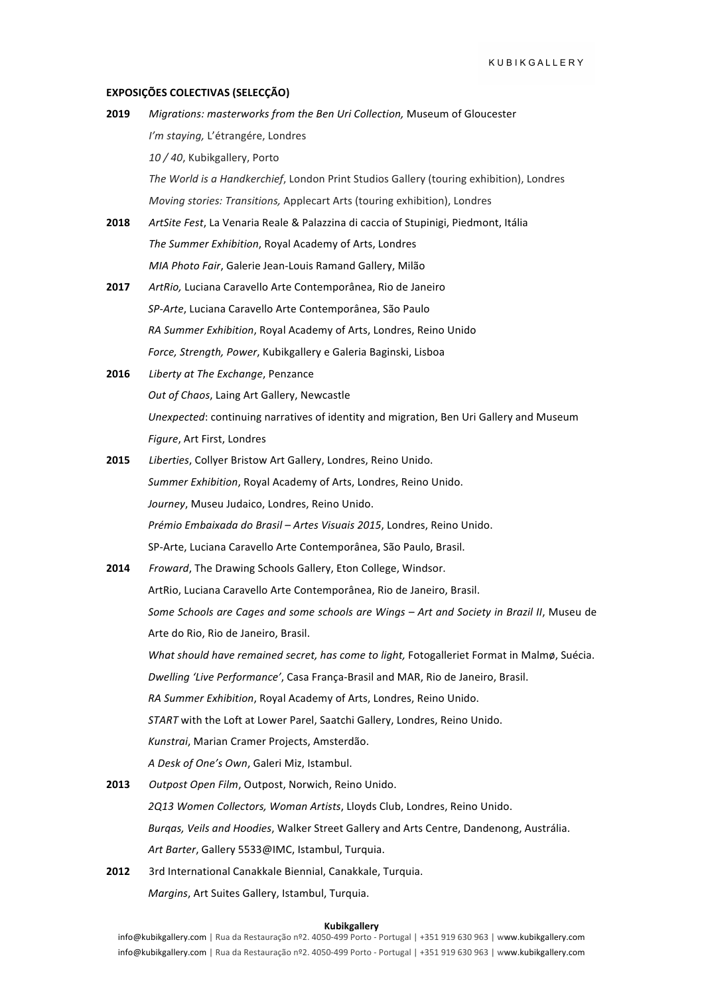# **EXPOSIÇÕES COLECTIVAS (SELECÇÃO)**

| 2019 | Migrations: masterworks from the Ben Uri Collection, Museum of Gloucester                   |
|------|---------------------------------------------------------------------------------------------|
|      | I'm staying, L'étrangére, Londres                                                           |
|      | 10 / 40, Kubikgallery, Porto                                                                |
|      | The World is a Handkerchief, London Print Studios Gallery (touring exhibition), Londres     |
|      | Moving stories: Transitions, Applecart Arts (touring exhibition), Londres                   |
| 2018 | ArtSite Fest, La Venaria Reale & Palazzina di caccia of Stupinigi, Piedmont, Itália         |
|      | The Summer Exhibition, Royal Academy of Arts, Londres                                       |
|      | MIA Photo Fair, Galerie Jean-Louis Ramand Gallery, Milão                                    |
| 2017 | ArtRio, Luciana Caravello Arte Contemporânea, Rio de Janeiro                                |
|      | SP-Arte, Luciana Caravello Arte Contemporânea, São Paulo                                    |
|      | RA Summer Exhibition, Royal Academy of Arts, Londres, Reino Unido                           |
|      | Force, Strength, Power, Kubikgallery e Galeria Baginski, Lisboa                             |
| 2016 | Liberty at The Exchange, Penzance                                                           |
|      | Out of Chaos, Laing Art Gallery, Newcastle                                                  |
|      | Unexpected: continuing narratives of identity and migration, Ben Uri Gallery and Museum     |
|      | Figure, Art First, Londres                                                                  |
| 2015 | Liberties, Collyer Bristow Art Gallery, Londres, Reino Unido.                               |
|      | Summer Exhibition, Royal Academy of Arts, Londres, Reino Unido.                             |
|      | Journey, Museu Judaico, Londres, Reino Unido.                                               |
|      | Prémio Embaixada do Brasil - Artes Visuais 2015, Londres, Reino Unido.                      |
|      | SP-Arte, Luciana Caravello Arte Contemporânea, São Paulo, Brasil.                           |
| 2014 | Froward, The Drawing Schools Gallery, Eton College, Windsor.                                |
|      | ArtRio, Luciana Caravello Arte Contemporânea, Rio de Janeiro, Brasil.                       |
|      | Some Schools are Cages and some schools are Wings - Art and Society in Brazil II, Museu de  |
|      | Arte do Rio, Rio de Janeiro, Brasil.                                                        |
|      | What should have remained secret, has come to light, Fotogalleriet Format in Malmø, Suécia. |
|      | Dwelling 'Live Performance', Casa França-Brasil and MAR, Rio de Janeiro, Brasil.            |
|      | RA Summer Exhibition, Royal Academy of Arts, Londres, Reino Unido.                          |
|      | START with the Loft at Lower Parel, Saatchi Gallery, Londres, Reino Unido.                  |
|      | Kunstrai, Marian Cramer Projects, Amsterdão.                                                |
|      | A Desk of One's Own, Galeri Miz, Istambul.                                                  |
| 2013 | Outpost Open Film, Outpost, Norwich, Reino Unido.                                           |
|      | 2Q13 Women Collectors, Woman Artists, Lloyds Club, Londres, Reino Unido.                    |
|      | Burgas, Veils and Hoodies, Walker Street Gallery and Arts Centre, Dandenong, Austrália.     |
|      | Art Barter, Gallery 5533@IMC, Istambul, Turquia.                                            |
| 2012 | 3rd International Canakkale Biennial, Canakkale, Turquia.                                   |

*Margins*, Art Suites Gallery, Istambul, Turquia.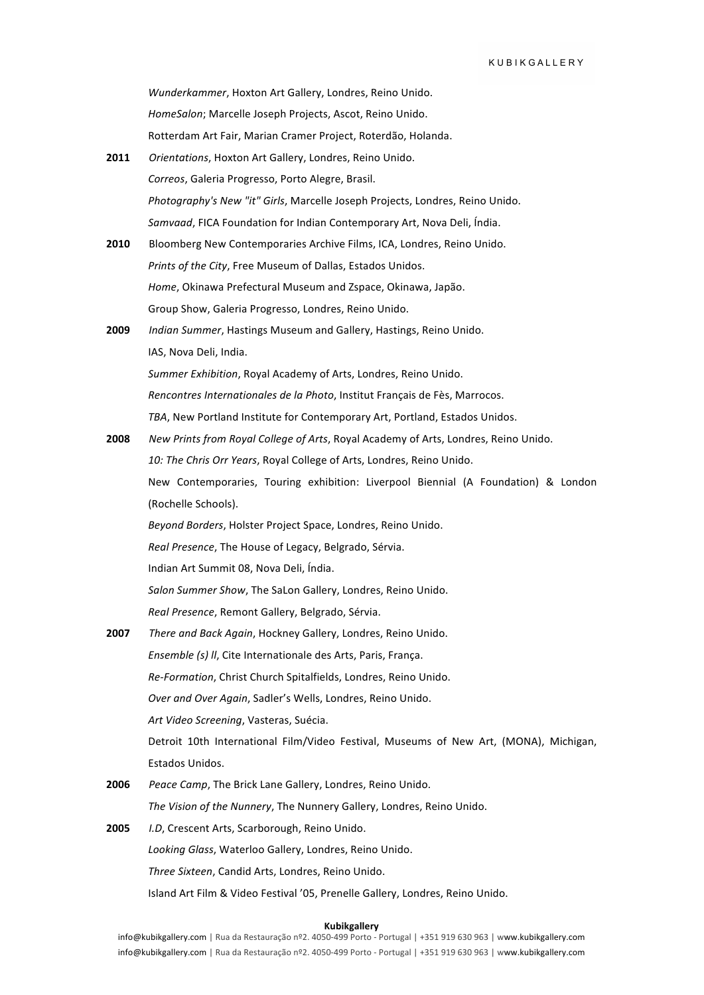*Wunderkammer*, Hoxton Art Gallery, Londres, Reino Unido. *HomeSalon*; Marcelle Joseph Projects, Ascot, Reino Unido. Rotterdam Art Fair, Marian Cramer Project, Roterdão, Holanda.

| 2011 | Orientations, Hoxton Art Gallery, Londres, Reino Unido.                               |
|------|---------------------------------------------------------------------------------------|
|      | Correos, Galeria Progresso, Porto Alegre, Brasil.                                     |
|      | Photography's New "it" Girls, Marcelle Joseph Projects, Londres, Reino Unido.         |
|      | Samvaad, FICA Foundation for Indian Contemporary Art, Nova Deli, Índia.               |
| 2010 | Bloomberg New Contemporaries Archive Films, ICA, Londres, Reino Unido.                |
|      | Prints of the City, Free Museum of Dallas, Estados Unidos.                            |
|      | Home, Okinawa Prefectural Museum and Zspace, Okinawa, Japão.                          |
|      | Group Show, Galeria Progresso, Londres, Reino Unido.                                  |
| 2009 | Indian Summer, Hastings Museum and Gallery, Hastings, Reino Unido.                    |
|      | IAS, Nova Deli, India.                                                                |
|      | Summer Exhibition, Royal Academy of Arts, Londres, Reino Unido.                       |
|      | Rencontres Internationales de la Photo, Institut Français de Fès, Marrocos.           |
|      | TBA, New Portland Institute for Contemporary Art, Portland, Estados Unidos.           |
| 2008 | New Prints from Royal College of Arts, Royal Academy of Arts, Londres, Reino Unido.   |
|      | 10: The Chris Orr Years, Royal College of Arts, Londres, Reino Unido.                 |
|      | New Contemporaries, Touring exhibition: Liverpool Biennial (A Foundation) & London    |
|      | (Rochelle Schools).                                                                   |
|      | Beyond Borders, Holster Project Space, Londres, Reino Unido.                          |
|      | Real Presence, The House of Legacy, Belgrado, Sérvia.                                 |
|      | Indian Art Summit 08, Nova Deli, Índia.                                               |
|      | Salon Summer Show, The SaLon Gallery, Londres, Reino Unido.                           |
|      | Real Presence, Remont Gallery, Belgrado, Sérvia.                                      |
| 2007 | There and Back Again, Hockney Gallery, Londres, Reino Unido.                          |
|      | Ensemble (s) II, Cite Internationale des Arts, Paris, França.                         |
|      | Re-Formation, Christ Church Spitalfields, Londres, Reino Unido.                       |
|      | Over and Over Again, Sadler's Wells, Londres, Reino Unido.                            |
|      | Art Video Screening, Vasteras, Suécia.                                                |
|      | Detroit 10th International Film/Video Festival, Museums of New Art, (MONA), Michigan, |
|      | Estados Unidos.                                                                       |
| 2006 | Peace Camp, The Brick Lane Gallery, Londres, Reino Unido.                             |
|      | The Vision of the Nunnery, The Nunnery Gallery, Londres, Reino Unido.                 |
| 2005 | I.D, Crescent Arts, Scarborough, Reino Unido.                                         |
|      | Looking Glass, Waterloo Gallery, Londres, Reino Unido.                                |
|      | Three Sixteen, Candid Arts, Londres, Reino Unido.                                     |

Island Art Film & Video Festival '05, Prenelle Gallery, Londres, Reino Unido.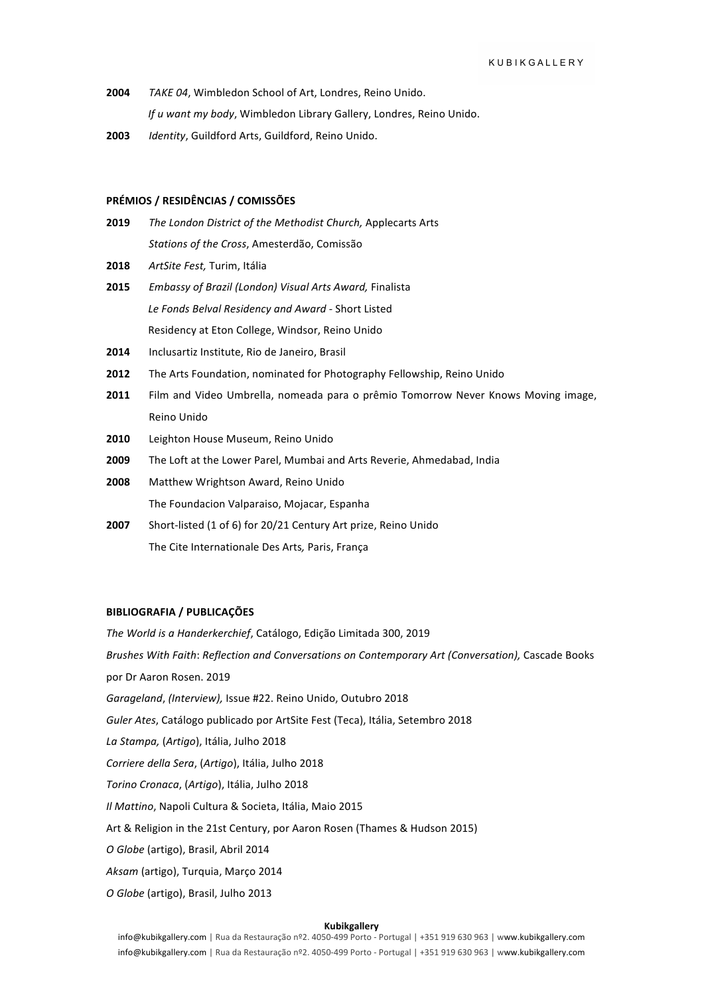- **2004** *TAKE 04,* Wimbledon School of Art, Londres, Reino Unido. *If u want my body*, Wimbledon Library Gallery, Londres, Reino Unido.
- 2003 *Identity*, Guildford Arts, Guildford, Reino Unido.

### **PRÉMIOS / RESIDÊNCIAS / COMISSÕES**

- **2019** *The London District of the Methodist Church, Applecarts Arts Stations of the Cross*, Amesterdão, Comissão
- 2018 ArtSite Fest, Turim, Itália
- **2015** *Embassy of Brazil (London) Visual Arts Award, Finalista* Le Fonds Belval Residency and Award - Short Listed Residency at Eton College, Windsor, Reino Unido
- 2014 Inclusartiz Institute, Rio de Janeiro, Brasil
- **2012** The Arts Foundation, nominated for Photography Fellowship, Reino Unido
- **2011** Film and Video Umbrella, nomeada para o prêmio Tomorrow Never Knows Moving image, Reino Unido
- 2010 Leighton House Museum, Reino Unido
- **2009** The Loft at the Lower Parel, Mumbai and Arts Reverie, Ahmedabad, India
- 2008 Matthew Wrightson Award, Reino Unido The Foundacion Valparaiso, Mojacar, Espanha
- **2007** Short-listed (1 of 6) for 20/21 Century Art prize, Reino Unido The Cite Internationale Des Arts, Paris, França

#### **BIBLIOGRAFIA / PUBLICAÇÕES**

The World is a Handerkerchief, Catálogo, Edição Limitada 300, 2019 *Brushes With Faith*: *Reflection and Conversations on Contemporary Art (Conversation),* Cascade Books por Dr Aaron Rosen. 2019 *Garageland, (Interview), Issue #22. Reino Unido, Outubro 2018* Guler Ates, Catálogo publicado por ArtSite Fest (Teca), Itália, Setembro 2018 *La Stampa,* (*Artigo*), Itália, Julho 2018 *Corriere della Sera*, (*Artigo*), Itália, Julho 2018 *Torino Cronaca*, (*Artigo*), Itália, Julho 2018 *Il Mattino*, Napoli Cultura & Societa, Itália, Maio 2015 Art & Religion in the 21st Century, por Aaron Rosen (Thames & Hudson 2015) O Globe (artigo), Brasil, Abril 2014 Aksam (artigo), Turquia, Março 2014 O Globe (artigo), Brasil, Julho 2013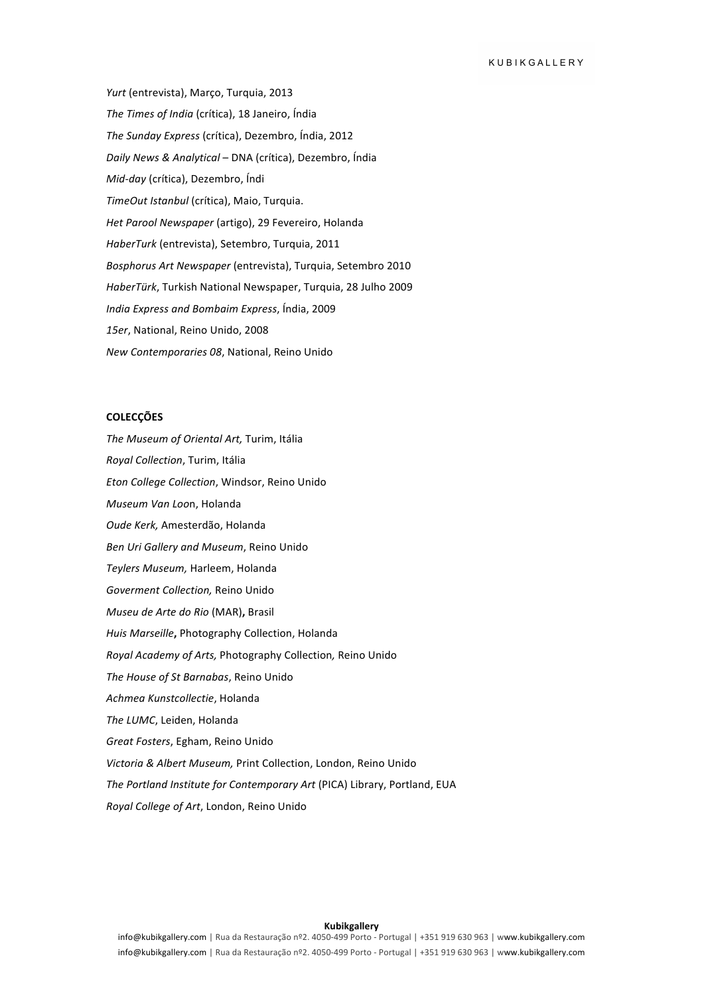Yurt (entrevista), Março, Turquia, 2013 The Times of India (crítica), 18 Janeiro, Índia The Sunday Express (crítica), Dezembro, Índia, 2012 *Daily News & Analytical* – DNA (crítica), Dezembro, Índia *Mid-day* (crítica), Dezembro, Índi *TimeOut Istanbul* (crítica), Maio, Turquia. *Het Parool Newspaper* (artigo), 29 Fevereiro, Holanda *HaberTurk* (entrevista), Setembro, Turquia, 2011 *Bosphorus Art Newspaper* (entrevista), Turquia, Setembro 2010 *HaberTürk*, Turkish National Newspaper, Turquia, 28 Julho 2009 *India Express and Bombaim Express*, Índia, 2009 15er, National, Reino Unido, 2008 *New Contemporaries 08*, National, Reino Unido

# **COLECÇÕES**

The Museum of Oriental Art, Turim, Itália

*Royal Collection*, Turim, Itália *Eton College Collection*, Windsor, Reino Unido *Museum Van Loo*n, Holanda *Oude Kerk,* Amesterdão, Holanda *Ben Uri Gallery and Museum*, Reino Unido *Teylers Museum,* Harleem, Holanda *Goverment Collection,* Reino Unido *Museu de Arte do Rio* (MAR)**,** Brasil *Huis Marseille***,** Photography Collection, Holanda *Royal Academy of Arts,* Photography Collection*,* Reino Unido *The House of St Barnabas*, Reino Unido *Achmea Kunstcollectie*, Holanda The LUMC, Leiden, Holanda *Great Fosters*, Egham, Reino Unido *Victoria & Albert Museum,* Print Collection, London, Reino Unido *The Portland Institute for Contemporary Art* (PICA) Library, Portland, EUA *Royal College of Art*, London, Reino Unido